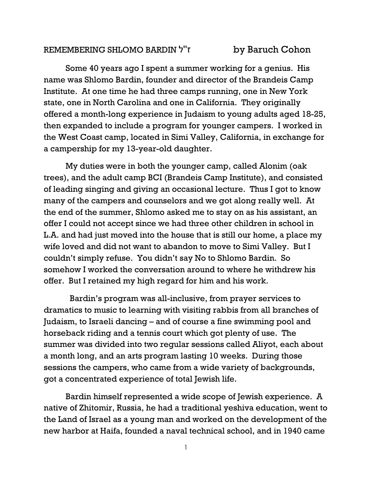## REMEMBERING SHLOMO BARDIN ל''ז by Baruch Cohon

Some 40 years ago I spent a summer working for a genius. His name was Shlomo Bardin, founder and director of the Brandeis Camp Institute. At one time he had three camps running, one in New York state, one in North Carolina and one in California. They originally offered a month-long experience in Judaism to young adults aged 18-25, then expanded to include a program for younger campers. I worked in the West Coast camp, located in Simi Valley, California, in exchange for a campership for my 13-year-old daughter.

My duties were in both the younger camp, called Alonim (oak trees), and the adult camp BCI (Brandeis Camp Institute), and consisted of leading singing and giving an occasional lecture. Thus I got to know many of the campers and counselors and we got along really well. At the end of the summer, Shlomo asked me to stay on as his assistant, an offer I could not accept since we had three other children in school in L.A. and had just moved into the house that is still our home, a place my wife loved and did not want to abandon to move to Simi Valley. But I couldn't simply refuse. You didn't say No to Shlomo Bardin. So somehow I worked the conversation around to where he withdrew his offer. But I retained my high regard for him and his work.

 Bardin's program was all-inclusive, from prayer services to dramatics to music to learning with visiting rabbis from all branches of Judaism, to Israeli dancing – and of course a fine swimming pool and horseback riding and a tennis court which got plenty of use. The summer was divided into two regular sessions called Aliyot, each about a month long, and an arts program lasting 10 weeks. During those sessions the campers, who came from a wide variety of backgrounds, got a concentrated experience of total Jewish life.

Bardin himself represented a wide scope of Jewish experience. A native of Zhitomir, Russia, he had a traditional yeshiva education, went to the Land of Israel as a young man and worked on the development of the new harbor at Haifa, founded a naval technical school, and in 1940 came

1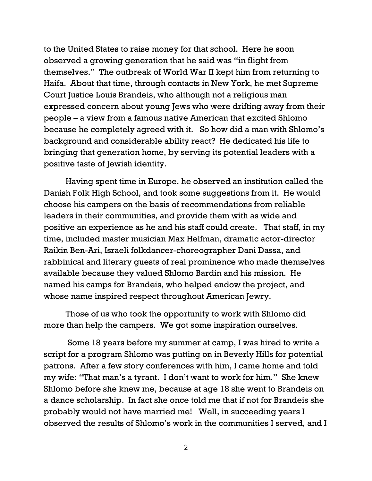to the United States to raise money for that school. Here he soon observed a growing generation that he said was "in flight from themselves." The outbreak of World War II kept him from returning to Haifa. About that time, through contacts in New York, he met Supreme Court Justice Louis Brandeis, who although not a religious man expressed concern about young Jews who were drifting away from their people – a view from a famous native American that excited Shlomo because he completely agreed with it. So how did a man with Shlomo's background and considerable ability react? He dedicated his life to bringing that generation home, by serving its potential leaders with a positive taste of Jewish identity.

Having spent time in Europe, he observed an institution called the Danish Folk High School, and took some suggestions from it. He would choose his campers on the basis of recommendations from reliable leaders in their communities, and provide them with as wide and positive an experience as he and his staff could create. That staff, in my time, included master musician Max Helfman, dramatic actor-director Raikin Ben-Ari, Israeli folkdancer-choreographer Dani Dassa, and rabbinical and literary guests of real prominence who made themselves available because they valued Shlomo Bardin and his mission. He named his camps for Brandeis, who helped endow the project, and whose name inspired respect throughout American Jewry.

Those of us who took the opportunity to work with Shlomo did more than help the campers. We got some inspiration ourselves.

 Some 18 years before my summer at camp, I was hired to write a script for a program Shlomo was putting on in Beverly Hills for potential patrons. After a few story conferences with him, I came home and told my wife: "That man's a tyrant. I don't want to work for him." She knew Shlomo before she knew me, because at age 18 she went to Brandeis on a dance scholarship. In fact she once told me that if not for Brandeis she probably would not have married me! Well, in succeeding years I observed the results of Shlomo's work in the communities I served, and I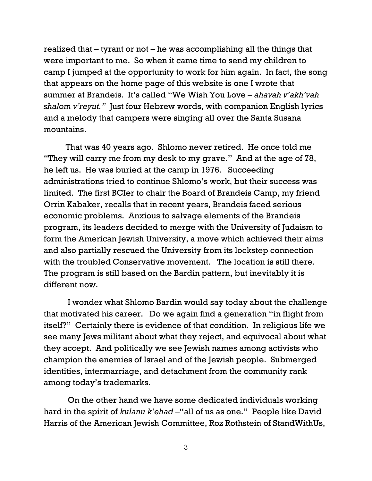realized that – tyrant or not – he was accomplishing all the things that were important to me. So when it came time to send my children to camp I jumped at the opportunity to work for him again. In fact, the song that appears on the home page of this website is one I wrote that summer at Brandeis. It's called "We Wish You Love – *ahavah v'akh'vah shalom v'reyut."* Just four Hebrew words, with companion English lyrics and a melody that campers were singing all over the Santa Susana mountains.

That was 40 years ago. Shlomo never retired. He once told me "They will carry me from my desk to my grave." And at the age of 78, he left us. He was buried at the camp in 1976. Succeeding administrations tried to continue Shlomo's work, but their success was limited. The first BCIer to chair the Board of Brandeis Camp, my friend Orrin Kabaker, recalls that in recent years, Brandeis faced serious economic problems. Anxious to salvage elements of the Brandeis program, its leaders decided to merge with the University of Judaism to form the American Jewish University, a move which achieved their aims and also partially rescued the University from its lockstep connection with the troubled Conservative movement. The location is still there. The program is still based on the Bardin pattern, but inevitably it is different now.

 I wonder what Shlomo Bardin would say today about the challenge that motivated his career. Do we again find a generation "in flight from itself?" Certainly there is evidence of that condition. In religious life we see many Jews militant about what they reject, and equivocal about what they accept. And politically we see Jewish names among activists who champion the enemies of Israel and of the Jewish people. Submerged identities, intermarriage, and detachment from the community rank among today's trademarks.

 On the other hand we have some dedicated individuals working hard in the spirit of *kulanu k'ehad –*"all of us as one." People like David Harris of the American Jewish Committee, Roz Rothstein of StandWithUs,